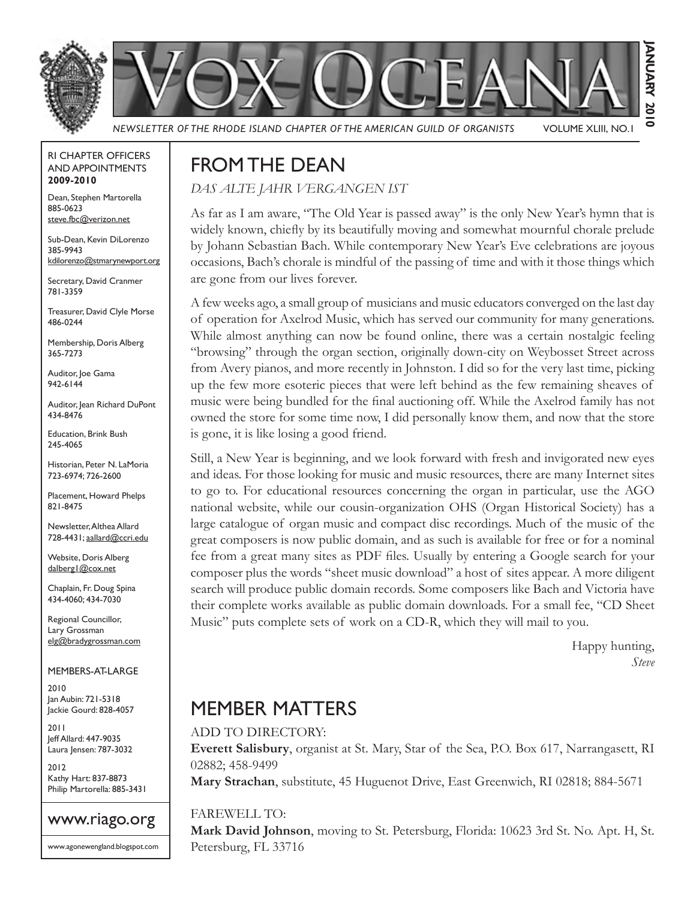



*NEWSLETTER OF THE RHODE ISLAND CHAPTER OF THE AMERICAN GUILD OF ORGANISTS* VOLUME XLIII, NO.1

#### RI CHAPTER OFFICERS AND APPOINTMENTS **2009-2010**

Dean, Stephen Martorella 885-0623 steve.fbc@verizon.net

Sub-Dean, Kevin DiLorenzo 385-9943 kdilorenzo@stmarynewport.org

Secretary, David Cranmer 781-3359

Treasurer, David Clyle Morse 486-0244

Membership, Doris Alberg 365-7273

Auditor, Joe Gama 942-6144

Auditor, Jean Richard DuPont 434-8476

Education, Brink Bush 245-4065

Historian, Peter N. LaMoria 723-6974; 726-2600

Placement, Howard Phelps 821-8475

Newsletter, Althea Allard 728-4431; aallard@ccri.edu

Website, Doris Alberg dalberg | @cox.net

Chaplain, Fr. Doug Spina 434-4060; 434-7030

Regional Councillor, Lary Grossman elg@bradygrossman.com

MEMBERS-AT-LARGE

2010 Jan Aubin: 721-5318 Jackie Gourd: 828-4057

2011 Jeff Allard: 447-9035 Laura Jensen: 787-3032

2012 Kathy Hart: 837-8873 Philip Martorella: 885-3431



www.agonewengland.blogspot.com

# FROM THE DEAN

*DAS ALTE JAHR VERGANGEN IST*

As far as I am aware, "The Old Year is passed away" is the only New Year's hymn that is widely known, chiefly by its beautifully moving and somewhat mournful chorale prelude by Johann Sebastian Bach. While contemporary New Year's Eve celebrations are joyous occasions, Bach's chorale is mindful of the passing of time and with it those things which are gone from our lives forever.

A few weeks ago, a small group of musicians and music educators converged on the last day of operation for Axelrod Music, which has served our community for many generations. While almost anything can now be found online, there was a certain nostalgic feeling "browsing" through the organ section, originally down-city on Weybosset Street across from Avery pianos, and more recently in Johnston. I did so for the very last time, picking up the few more esoteric pieces that were left behind as the few remaining sheaves of music were being bundled for the final auctioning off. While the Axelrod family has not owned the store for some time now, I did personally know them, and now that the store is gone, it is like losing a good friend.

Still, a New Year is beginning, and we look forward with fresh and invigorated new eyes and ideas. For those looking for music and music resources, there are many Internet sites to go to. For educational resources concerning the organ in particular, use the AGO national website, while our cousin-organization OHS (Organ Historical Society) has a large catalogue of organ music and compact disc recordings. Much of the music of the great composers is now public domain, and as such is available for free or for a nominal fee from a great many sites as PDF files. Usually by entering a Google search for your composer plus the words "sheet music download" a host of sites appear. A more diligent search will produce public domain records. Some composers like Bach and Victoria have their complete works available as public domain downloads. For a small fee, "CD Sheet Music" puts complete sets of work on a CD-R, which they will mail to you.

> Happy hunting, *Steve*

# MEMBER MATTERS

#### ADD TO DIRECTORY:

**Everett Salisbury**, organist at St. Mary, Star of the Sea, P.O. Box 617, Narrangasett, RI 02882; 458-9499 **Mary Strachan**, substitute, 45 Huguenot Drive, East Greenwich, RI 02818; 884-5671

## FAREWELL TO:

**Mark David Johnson**, moving to St. Petersburg, Florida: 10623 3rd St. No. Apt. H, St. Petersburg, FL 33716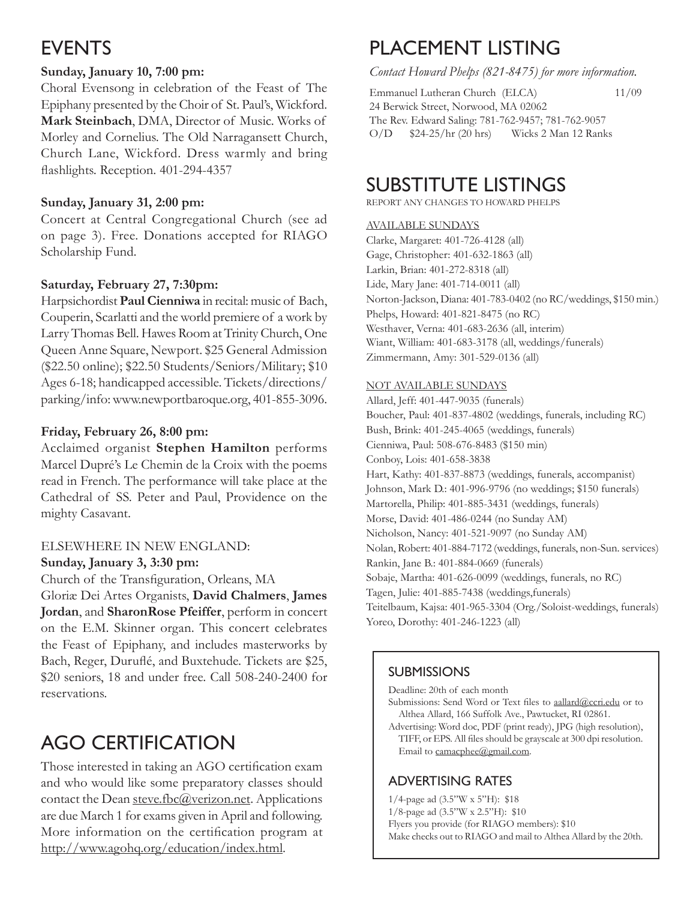# EVENTS

## **Sunday, January 10, 7:00 pm:**

Choral Evensong in celebration of the Feast of The Epiphany presented by the Choir of St. Paul's, Wickford. **Mark Steinbach**, DMA, Director of Music. Works of Morley and Cornelius. The Old Narragansett Church, Church Lane, Wickford. Dress warmly and bring flashlights. Reception. 401-294-4357

## **Sunday, January 31, 2:00 pm:**

Concert at Central Congregational Church (see ad on page 3). Free. Donations accepted for RIAGO Scholarship Fund.

## **Saturday, February 27, 7:30pm:**

Harpsichordist **Paul Cienniwa** in recital: music of Bach, Couperin, Scarlatti and the world premiere of a work by Larry Thomas Bell. Hawes Room at Trinity Church, One Queen Anne Square, Newport. \$25 General Admission (\$22.50 online); \$22.50 Students/Seniors/Military; \$10 Ages 6-18; handicapped accessible. Tickets/directions/ parking/info: www.newportbaroque.org, 401-855-3096.

## **Friday, February 26, 8:00 pm:**

Acclaimed organist **Stephen Hamilton** performs Marcel Dupré's Le Chemin de la Croix with the poems read in French. The performance will take place at the Cathedral of SS. Peter and Paul, Providence on the mighty Casavant.

## ELSEWHERE IN NEW ENGLAND:

#### **Sunday, January 3, 3:30 pm:**

Church of the Transfiguration, Orleans, MA

Gloriæ Dei Artes Organists, **David Chalmers**, **James Jordan**, and **SharonRose Pfeiffer**, perform in concert on the E.M. Skinner organ. This concert celebrates the Feast of Epiphany, and includes masterworks by Bach, Reger, Duruflé, and Buxtehude. Tickets are \$25, \$20 seniors, 18 and under free. Call 508-240-2400 for reservations.

# AGO CERTIFICATION

Those interested in taking an AGO certification exam and who would like some preparatory classes should contact the Dean steve.fbc@verizon.net. Applications are due March 1 for exams given in April and following. More information on the certification program at http://www.agohq.org/education/index.html.

# PLACEMENT LISTING

*Contact Howard Phelps (821-8475) for more information.*

Emmanuel Lutheran Church (ELCA) 11/09 24 Berwick Street, Norwood, MA 02062 The Rev. Edward Saling: 781-762-9457; 781-762-9057 O/D \$24-25/hr (20 hrs) Wicks 2 Man 12 Ranks

# SUBSTITUTE LISTINGS

REPORT ANY CHANGES TO HOWARD PHELPS

#### AVAILABLE SUNDAYS

Clarke, Margaret: 401-726-4128 (all) Gage, Christopher: 401-632-1863 (all) Larkin, Brian: 401-272-8318 (all) Lide, Mary Jane: 401-714-0011 (all) Norton-Jackson, Diana: 401-783-0402 (no RC/weddings, \$150 min.) Phelps, Howard: 401-821-8475 (no RC) Westhaver, Verna: 401-683-2636 (all, interim) Wiant, William: 401-683-3178 (all, weddings/funerals) Zimmermann, Amy: 301-529-0136 (all)

#### NOT AVAILABLE SUNDAYS

Allard, Jeff: 401-447-9035 (funerals) Boucher, Paul: 401-837-4802 (weddings, funerals, including RC) Bush, Brink: 401-245-4065 (weddings, funerals) Cienniwa, Paul: 508-676-8483 (\$150 min) Conboy, Lois: 401-658-3838 Hart, Kathy: 401-837-8873 (weddings, funerals, accompanist) Johnson, Mark D.: 401-996-9796 (no weddings; \$150 funerals) Martorella, Philip: 401-885-3431 (weddings, funerals) Morse, David: 401-486-0244 (no Sunday AM) Nicholson, Nancy: 401-521-9097 (no Sunday AM) Nolan, Robert: 401-884-7172 (weddings, funerals, non-Sun. services) Rankin, Jane B.: 401-884-0669 (funerals) Sobaje, Martha: 401-626-0099 (weddings, funerals, no RC) Tagen, Julie: 401-885-7438 (weddings,funerals) Teitelbaum, Kajsa: 401-965-3304 (Org./Soloist-weddings, funerals) Yoreo, Dorothy: 401-246-1223 (all)

## **SUBMISSIONS**

Deadline: 20th of each month

Submissions: Send Word or Text files to aallard@ccri.edu or to Althea Allard, 166 Suffolk Ave., Pawtucket, RI 02861.

Advertising: Word doc, PDF (print ready), JPG (high resolution), TIFF, or EPS. All files should be grayscale at 300 dpi resolution. Email to camacphee@gmail.com.

## ADVERTISING RATES

1/4-page ad (3.5"W x 5"H): \$18 1/8-page ad (3.5"W x 2.5"H): \$10 Flyers you provide (for RIAGO members): \$10 Make checks out to RIAGO and mail to Althea Allard by the 20th.